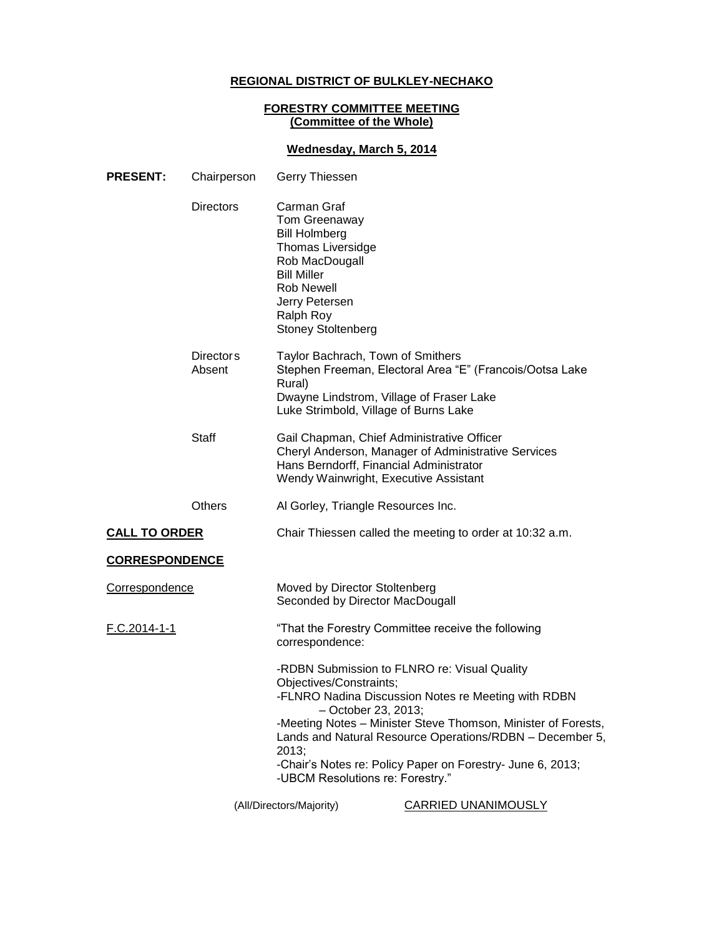# **REGIONAL DISTRICT OF BULKLEY-NECHAKO**

## **FORESTRY COMMITTEE MEETING (Committee of the Whole)**

# **Wednesday, March 5, 2014**

| <b>PRESENT:</b>       | Chairperson                | Gerry Thiessen                                                                                                                                                                                            |                                                                                                                                                                                                                                                                                                |
|-----------------------|----------------------------|-----------------------------------------------------------------------------------------------------------------------------------------------------------------------------------------------------------|------------------------------------------------------------------------------------------------------------------------------------------------------------------------------------------------------------------------------------------------------------------------------------------------|
|                       | <b>Directors</b>           | Carman Graf<br><b>Tom Greenaway</b><br><b>Bill Holmberg</b><br>Thomas Liversidge<br>Rob MacDougall<br><b>Bill Miller</b><br><b>Rob Newell</b><br>Jerry Petersen<br>Ralph Roy<br><b>Stoney Stoltenberg</b> |                                                                                                                                                                                                                                                                                                |
|                       | <b>Directors</b><br>Absent | Taylor Bachrach, Town of Smithers<br>Rural)<br>Dwayne Lindstrom, Village of Fraser Lake<br>Luke Strimbold, Village of Burns Lake                                                                          | Stephen Freeman, Electoral Area "E" (Francois/Ootsa Lake                                                                                                                                                                                                                                       |
|                       | <b>Staff</b>               | Gail Chapman, Chief Administrative Officer<br>Hans Berndorff, Financial Administrator<br>Wendy Wainwright, Executive Assistant                                                                            | Cheryl Anderson, Manager of Administrative Services                                                                                                                                                                                                                                            |
|                       | <b>Others</b>              | Al Gorley, Triangle Resources Inc.                                                                                                                                                                        |                                                                                                                                                                                                                                                                                                |
| <b>CALL TO ORDER</b>  |                            | Chair Thiessen called the meeting to order at 10:32 a.m.                                                                                                                                                  |                                                                                                                                                                                                                                                                                                |
| <b>CORRESPONDENCE</b> |                            |                                                                                                                                                                                                           |                                                                                                                                                                                                                                                                                                |
| <b>Correspondence</b> |                            | Moved by Director Stoltenberg<br>Seconded by Director MacDougall                                                                                                                                          |                                                                                                                                                                                                                                                                                                |
| F.C.2014-1-1          |                            | "That the Forestry Committee receive the following<br>correspondence:                                                                                                                                     |                                                                                                                                                                                                                                                                                                |
|                       |                            | Objectives/Constraints;<br>- October 23, 2013;<br>2013;<br>-UBCM Resolutions re: Forestry."                                                                                                               | -RDBN Submission to FLNRO re: Visual Quality<br>-FLNRO Nadina Discussion Notes re Meeting with RDBN<br>-Meeting Notes - Minister Steve Thomson, Minister of Forests,<br>Lands and Natural Resource Operations/RDBN - December 5,<br>-Chair's Notes re: Policy Paper on Forestry- June 6, 2013; |
|                       |                            | (All/Directors/Majority)                                                                                                                                                                                  | <b>CARRIED UNANIMOUSLY</b>                                                                                                                                                                                                                                                                     |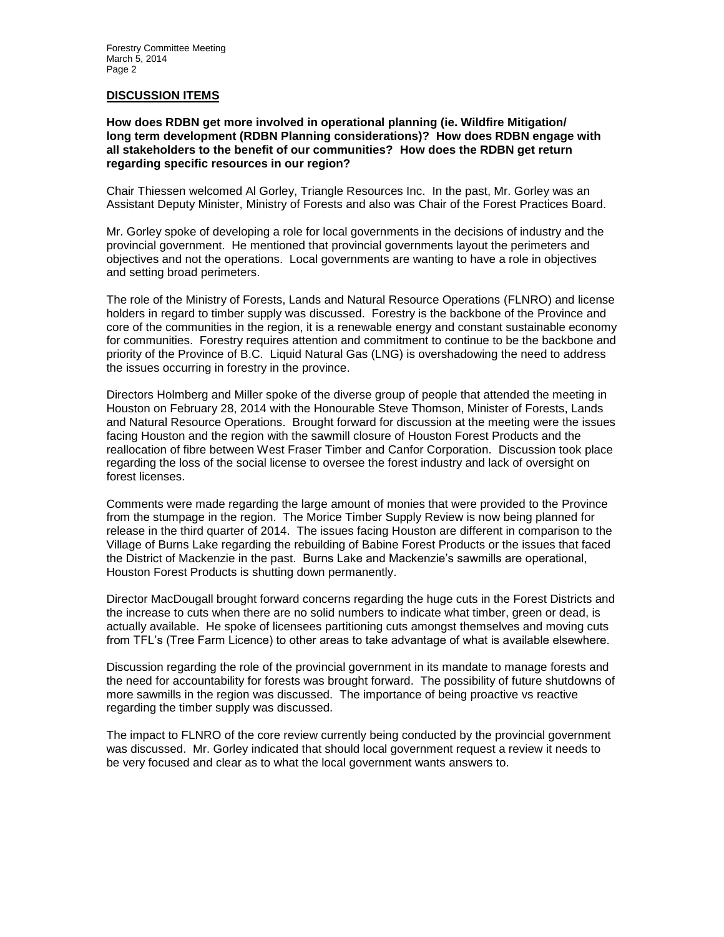#### **DISCUSSION ITEMS**

**How does RDBN get more involved in operational planning (ie. Wildfire Mitigation/ long term development (RDBN Planning considerations)? How does RDBN engage with all stakeholders to the benefit of our communities? How does the RDBN get return regarding specific resources in our region?**

Chair Thiessen welcomed Al Gorley, Triangle Resources Inc. In the past, Mr. Gorley was an Assistant Deputy Minister, Ministry of Forests and also was Chair of the Forest Practices Board.

Mr. Gorley spoke of developing a role for local governments in the decisions of industry and the provincial government. He mentioned that provincial governments layout the perimeters and objectives and not the operations. Local governments are wanting to have a role in objectives and setting broad perimeters.

The role of the Ministry of Forests, Lands and Natural Resource Operations (FLNRO) and license holders in regard to timber supply was discussed. Forestry is the backbone of the Province and core of the communities in the region, it is a renewable energy and constant sustainable economy for communities. Forestry requires attention and commitment to continue to be the backbone and priority of the Province of B.C. Liquid Natural Gas (LNG) is overshadowing the need to address the issues occurring in forestry in the province.

Directors Holmberg and Miller spoke of the diverse group of people that attended the meeting in Houston on February 28, 2014 with the Honourable Steve Thomson, Minister of Forests, Lands and Natural Resource Operations. Brought forward for discussion at the meeting were the issues facing Houston and the region with the sawmill closure of Houston Forest Products and the reallocation of fibre between West Fraser Timber and Canfor Corporation. Discussion took place regarding the loss of the social license to oversee the forest industry and lack of oversight on forest licenses.

Comments were made regarding the large amount of monies that were provided to the Province from the stumpage in the region. The Morice Timber Supply Review is now being planned for release in the third quarter of 2014. The issues facing Houston are different in comparison to the Village of Burns Lake regarding the rebuilding of Babine Forest Products or the issues that faced the District of Mackenzie in the past. Burns Lake and Mackenzie's sawmills are operational, Houston Forest Products is shutting down permanently.

Director MacDougall brought forward concerns regarding the huge cuts in the Forest Districts and the increase to cuts when there are no solid numbers to indicate what timber, green or dead, is actually available. He spoke of licensees partitioning cuts amongst themselves and moving cuts from TFL's (Tree Farm Licence) to other areas to take advantage of what is available elsewhere.

Discussion regarding the role of the provincial government in its mandate to manage forests and the need for accountability for forests was brought forward. The possibility of future shutdowns of more sawmills in the region was discussed. The importance of being proactive vs reactive regarding the timber supply was discussed.

The impact to FLNRO of the core review currently being conducted by the provincial government was discussed. Mr. Gorley indicated that should local government request a review it needs to be very focused and clear as to what the local government wants answers to.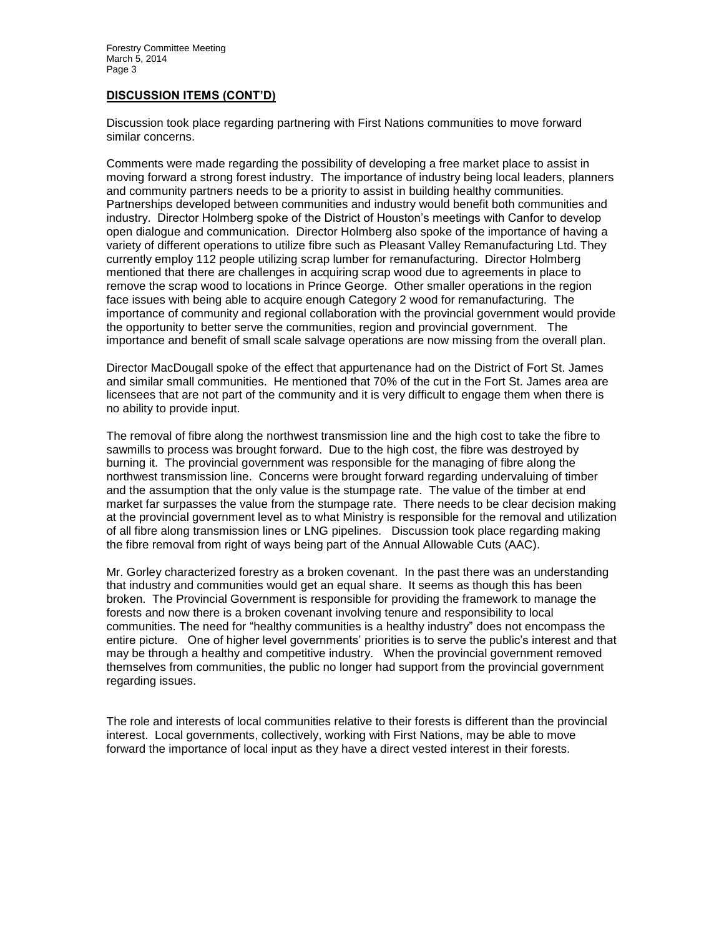### **DISCUSSION ITEMS (CONT'D)**

Discussion took place regarding partnering with First Nations communities to move forward similar concerns.

Comments were made regarding the possibility of developing a free market place to assist in moving forward a strong forest industry. The importance of industry being local leaders, planners and community partners needs to be a priority to assist in building healthy communities. Partnerships developed between communities and industry would benefit both communities and industry. Director Holmberg spoke of the District of Houston's meetings with Canfor to develop open dialogue and communication. Director Holmberg also spoke of the importance of having a variety of different operations to utilize fibre such as Pleasant Valley Remanufacturing Ltd. They currently employ 112 people utilizing scrap lumber for remanufacturing. Director Holmberg mentioned that there are challenges in acquiring scrap wood due to agreements in place to remove the scrap wood to locations in Prince George. Other smaller operations in the region face issues with being able to acquire enough Category 2 wood for remanufacturing. The importance of community and regional collaboration with the provincial government would provide the opportunity to better serve the communities, region and provincial government. The importance and benefit of small scale salvage operations are now missing from the overall plan.

Director MacDougall spoke of the effect that appurtenance had on the District of Fort St. James and similar small communities. He mentioned that 70% of the cut in the Fort St. James area are licensees that are not part of the community and it is very difficult to engage them when there is no ability to provide input.

The removal of fibre along the northwest transmission line and the high cost to take the fibre to sawmills to process was brought forward. Due to the high cost, the fibre was destroyed by burning it. The provincial government was responsible for the managing of fibre along the northwest transmission line. Concerns were brought forward regarding undervaluing of timber and the assumption that the only value is the stumpage rate. The value of the timber at end market far surpasses the value from the stumpage rate. There needs to be clear decision making at the provincial government level as to what Ministry is responsible for the removal and utilization of all fibre along transmission lines or LNG pipelines. Discussion took place regarding making the fibre removal from right of ways being part of the Annual Allowable Cuts (AAC).

Mr. Gorley characterized forestry as a broken covenant. In the past there was an understanding that industry and communities would get an equal share. It seems as though this has been broken. The Provincial Government is responsible for providing the framework to manage the forests and now there is a broken covenant involving tenure and responsibility to local communities. The need for "healthy communities is a healthy industry" does not encompass the entire picture. One of higher level governments' priorities is to serve the public's interest and that may be through a healthy and competitive industry. When the provincial government removed themselves from communities, the public no longer had support from the provincial government regarding issues.

The role and interests of local communities relative to their forests is different than the provincial interest. Local governments, collectively, working with First Nations, may be able to move forward the importance of local input as they have a direct vested interest in their forests.